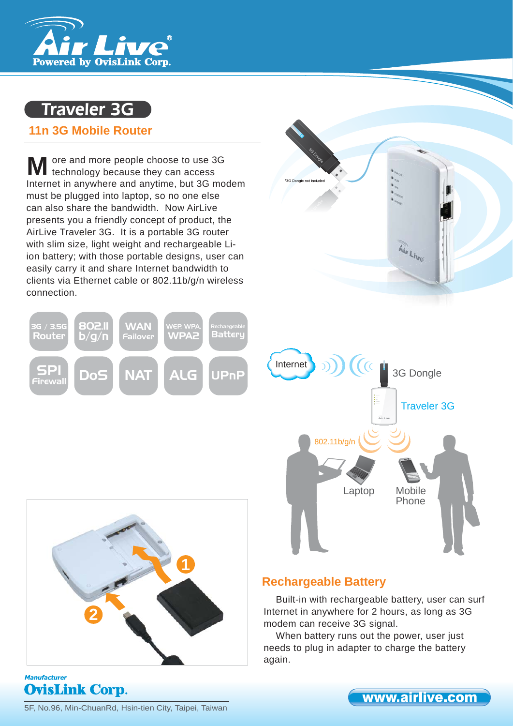

# Traveler 3G

## **11n 3G Mobile Router**

ore and more people choose to use 3G **M** ore and more people choose to use 3 technology because they can access Internet in anywhere and anytime, but 3G modem must be plugged into laptop, so no one else can also share the bandwidth. Now AirLive presents you a friendly concept of product, the AirLive Traveler 3G. It is a portable 3G router with slim size, light weight and rechargeable Liion battery; with those portable designs, user can easily carry it and share Internet bandwidth to clients via Ethernet cable or 802.11b/g/n wireless connection.









### **Manufacturer OvisLink Corp.**

## **Rechargeable Battery**

Built-in with rechargeable battery, user can surf Internet in anywhere for 2 hours, as long as 3G modem can receive 3G signal.

When battery runs out the power, user just needs to plug in adapter to charge the battery again.

5F, No.96, Min-ChuanRd, Hsin-tien City, Taipei, Taiwan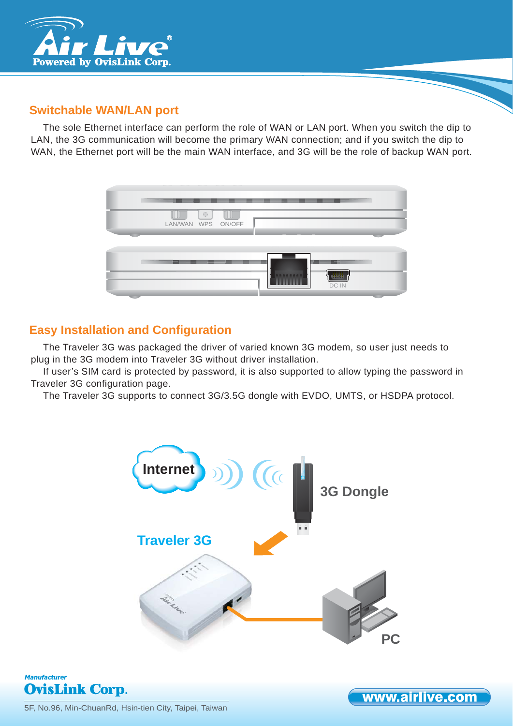

# **Switchable WAN/LAN port**

The sole Ethernet interface can perform the role of WAN or LAN port. When you switch the dip to LAN, the 3G communication will become the primary WAN connection; and if you switch the dip to WAN, the Ethernet port will be the main WAN interface, and 3G will be the role of backup WAN port.



# **Easy Installation and Configuration**

The Traveler 3G was packaged the driver of varied known 3G modem, so user just needs to plug in the 3G modem into Traveler 3G without driver installation.

If user's SIM card is protected by password, it is also supported to allow typing the password in Traveler 3G configuration page.

The Traveler 3G supports to connect 3G/3.5G dongle with EVDO, UMTS, or HSDPA protocol.





www.airlive.com

5F, No.96, Min-ChuanRd, Hsin-tien City, Taipei, Taiwan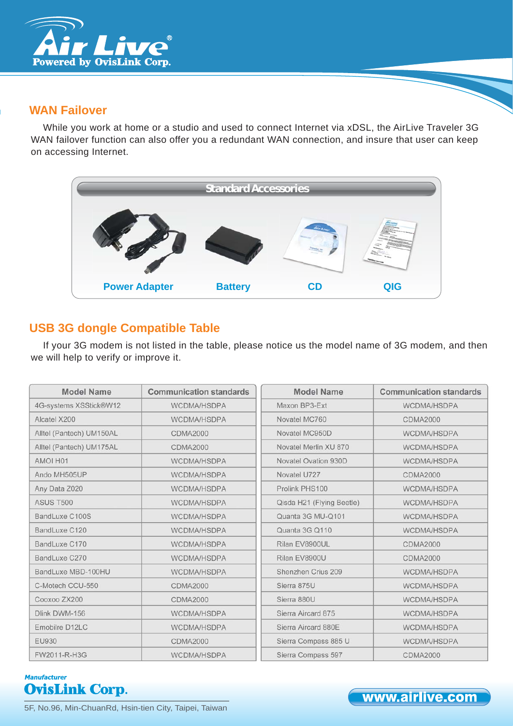

## **WAN Failover**

While you work at home or a studio and used to connect Internet via xDSL, the AirLive Traveler 3G WAN failover function can also offer you a redundant WAN connection, and insure that user can keep on accessing Internet.



# **USB 3G dongle Compatible Table**

If your 3G modem is not listed in the table, please notice us the model name of 3G modem, and then we will help to verify or improve it.

| <b>Model Name</b>        | <b>Communication standards</b> | <b>Model Name</b>         | <b>Communication standards</b> |
|--------------------------|--------------------------------|---------------------------|--------------------------------|
| 4G-systems XSStick®W12   | WCDMA/HSDPA                    | Maxon BP3-Ext             | WCDMA/HSDPA                    |
| Alcatel X200             | WCDMA/HSDPA                    | Novatel MC760             | <b>CDMA2000</b>                |
| Alltel (Pantech) UM150AL | <b>CDMA2000</b>                | Novatel MC950D            | WCDMA/HSDPA                    |
| Alltel (Pantech) UM175AL | <b>CDMA2000</b>                | Novatel Merlin XU 870     | WCDMA/HSDPA                    |
| AMOI H01                 | WCDMA/HSDPA                    | Novatel Ovation 930D      | WCDMA/HSDPA                    |
| Ando MH505UP             | WCDMA/HSDPA                    | Novatel U727              | <b>CDMA2000</b>                |
| Any Data Z020            | WCDMA/HSDPA                    | Prolink PHS100            | WCDMA/HSDPA                    |
| <b>ASUS T500</b>         | WCDMA/HSDPA                    | Qisda H21 (Flying Beetle) | WCDMA/HSDPA                    |
| BandLuxe C100S           | WCDMA/HSDPA                    | Quanta 3G MU-Q101         | WCDMA/HSDPA                    |
| BandLuxe C120            | WCDMA/HSDPA                    | Quanta 3G Q110            | WCDMA/HSDPA                    |
| BandLuxe C170            | WCDMA/HSDPA                    | Rilan EV8900UL            | <b>CDMA2000</b>                |
| BandLuxe C270            | WCDMA/HSDPA                    | Rilan EV8900U             | <b>CDMA2000</b>                |
| BandLuxe MBD-100HU       | WCDMA/HSDPA                    | Shenzhen Crius 209        | WCDMA/HSDPA                    |
| C-Motech CCU-550         | <b>CDMA2000</b>                | Sierra 875U               | WCDMA/HSDPA                    |
| Cooxoo ZX200             | <b>CDMA2000</b>                | Sierra 880U               | WCDMA/HSDPA                    |
| Dlink DWM-156            | <b>WCDMA/HSDPA</b>             | Sierra Aircard 875        | WCDMA/HSDPA                    |
| Emobilre D12LC           | WCDMA/HSDPA                    | Sierra Aircard 880E       | WCDMA/HSDPA                    |
| <b>EU930</b>             | <b>CDMA2000</b>                | Sierra Compass 885 U      | WCDMA/HSDPA                    |
| FW2011-R-H3G             | WCDMA/HSDPA                    | Sierra Compass 597        | <b>CDMA2000</b>                |

## **Manufacturer OvisLink Corp.**

www.airlive.com

5F, No.96, Min-ChuanRd, Hsin-tien City, Taipei, Taiwan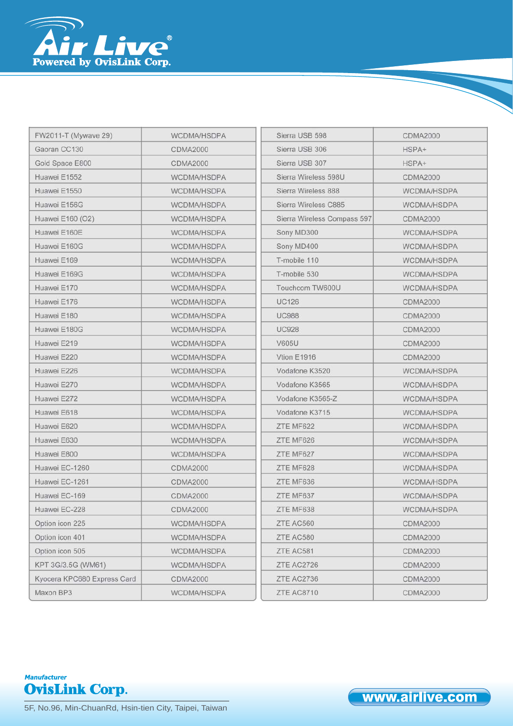

| FW2011-T (Mywave 29)        | WCDMA/HSDPA     | Sierra USB 598              | <b>CDMA2000</b>    |
|-----------------------------|-----------------|-----------------------------|--------------------|
| Gaoran CC130                | <b>CDMA2000</b> | Sierra USB 306              | HSPA+              |
| Gold Space E800             | <b>CDMA2000</b> | Sierra USB 307              | HSPA+              |
| Huawei E1552                | WCDMA/HSDPA     | Sierra Wireless 598U        | <b>CDMA2000</b>    |
| Huawei E1550                | WCDMA/HSDPA     | Sierra Wireless 888         | WCDMA/HSDPA        |
| Huawei E156G                | WCDMA/HSDPA     | Sierra Wireless C885        | WCDMA/HSDPA        |
| Huawei E160 (O2)            | WCDMA/HSDPA     | Sierra Wireless Compass 597 | <b>CDMA2000</b>    |
| Huawei E160E                | WCDMA/HSDPA     | Sony MD300                  | WCDMA/HSDPA        |
| Huawei E160G                | WCDMA/HSDPA     | Sony MD400                  | WCDMA/HSDPA        |
| Huawei E169                 | WCDMA/HSDPA     | T-mobile 110                | WCDMA/HSDPA        |
| Huawei E169G                | WCDMA/HSDPA     | T-mobile 530                | WCDMA/HSDPA        |
| Huawei E170                 | WCDMA/HSDPA     | Touchcom TW600U             | WCDMA/HSDPA        |
| Huawei E176                 | WCDMA/HSDPA     | <b>UC126</b>                | <b>CDMA2000</b>    |
| Huawei E180                 | WCDMA/HSDPA     | <b>UC988</b>                | <b>CDMA2000</b>    |
| Huawei E180G                | WCDMA/HSDPA     | <b>UC928</b>                | <b>CDMA2000</b>    |
| Huawei E219                 | WCDMA/HSDPA     | <b>V605U</b>                | <b>CDMA2000</b>    |
| Huawei E220                 | WCDMA/HSDPA     | Vtion E1916                 | <b>CDMA2000</b>    |
| Huawei E226                 | WCDMA/HSDPA     | Vodafone K3520              | WCDMA/HSDPA        |
| Huawei E270                 | WCDMA/HSDPA     | Vodafone K3565              | <b>WCDMA/HSDPA</b> |
| Huawei E272                 | WCDMA/HSDPA     | Vodafone K3565-Z            | <b>WCDMA/HSDPA</b> |
| Huawei E618                 | WCDMA/HSDPA     | Vodafone K3715              | WCDMA/HSDPA        |
| Huawei E620                 | WCDMA/HSDPA     | ZTE MF622                   | WCDMA/HSDPA        |
| Huawei E630                 | WCDMA/HSDPA     | ZTE MF626                   | WCDMA/HSDPA        |
| Huawei E800                 | WCDMA/HSDPA     | ZTE MF627                   | WCDMA/HSDPA        |
| Huawei EC-1260              | <b>CDMA2000</b> | ZTE MF628                   | WCDMA/HSDPA        |
| Huawei EC-1261              | <b>CDMA2000</b> | ZTE MF636                   | WCDMA/HSDPA        |
| Huawei EC-169               | <b>CDMA2000</b> | ZTE MF637                   | WCDMA/HSDPA        |
| Huawei EC-228               | <b>CDMA2000</b> | ZTE MF638                   | WCDMA/HSDPA        |
| Option icon 225             | WCDMA/HSDPA     | ZTE AC560                   | <b>CDMA2000</b>    |
| Option icon 401             | WCDMA/HSDPA     | ZTE AC580                   | <b>CDMA2000</b>    |
| Option icon 505             | WCDMA/HSDPA     | ZTE AC581                   | <b>CDMA2000</b>    |
| KPT 3G/3.5G (WM61)          | WCDMA/HSDPA     | ZTE AC2726                  | <b>CDMA2000</b>    |
| Kyocera KPC680 Express Card | <b>CDMA2000</b> | ZTE AC2736                  | <b>CDMA2000</b>    |
| Maxon BP3                   | WCDMA/HSDPA     | ZTE AC8710                  | <b>CDMA2000</b>    |



5F, No.96, Min-ChuanRd, Hsin-tien City, Taipei, Taiwan

www.airlive.com